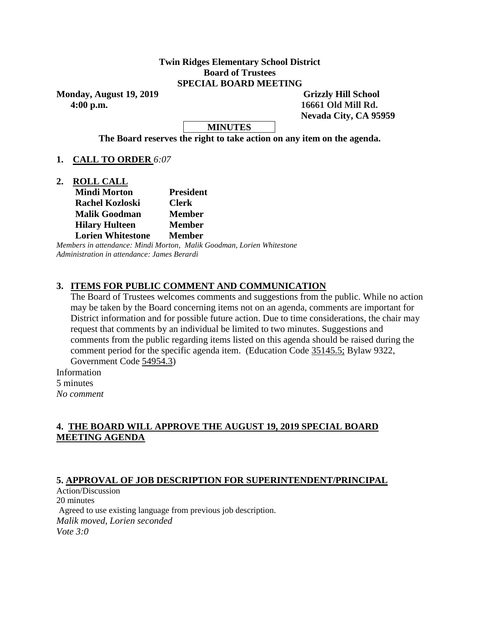### **Twin Ridges Elementary School District Board of Trustees SPECIAL BOARD MEETING**

Monday, August 19, 2019 **Grizzly Hill School 4:00 p.m. 16661 Old Mill Rd.**

 **Nevada City, CA 95959**

**MINUTES**

**The Board reserves the right to take action on any item on the agenda.**

**1. CALL TO ORDER** *6:07*

**2. ROLL CALL**

| <b>Mindi Morton</b>      | <b>President</b> |
|--------------------------|------------------|
| <b>Rachel Kozloski</b>   | <b>Clerk</b>     |
| <b>Malik Goodman</b>     | <b>Member</b>    |
| <b>Hilary Hulteen</b>    | <b>Member</b>    |
| <b>Lorien Whitestone</b> | <b>Member</b>    |

*Members in attendance: Mindi Morton, Malik Goodman, Lorien Whitestone Administration in attendance: James Berardi* 

# **3. ITEMS FOR PUBLIC COMMENT AND COMMUNICATION**

The Board of Trustees welcomes comments and suggestions from the public. While no action may be taken by the Board concerning items not on an agenda, comments are important for District information and for possible future action. Due to time considerations, the chair may request that comments by an individual be limited to two minutes. Suggestions and comments from the public regarding items listed on this agenda should be raised during the comment period for the specific agenda item. (Education Code 35145.5; Bylaw 9322, Government Code 54954.3)

Information 5 minutes *No comment* 

# **4. THE BOARD WILL APPROVE THE AUGUST 19, 2019 SPECIAL BOARD MEETING AGENDA**

### **5. APPROVAL OF JOB DESCRIPTION FOR SUPERINTENDENT/PRINCIPAL**

Action/Discussion 20 minutes Agreed to use existing language from previous job description. *Malik moved, Lorien seconded Vote 3:0*